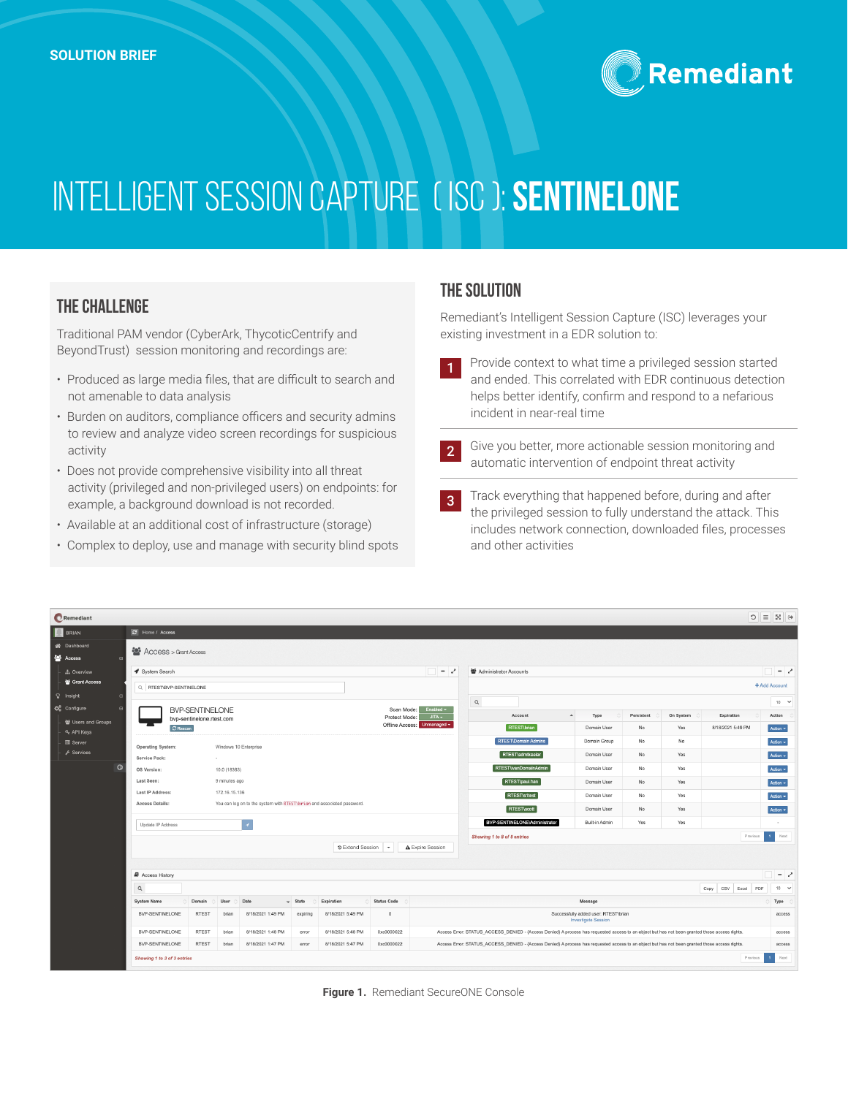

# Intelligent Session Capture( ISC ): **SentinelOne**

### **THE CHALLENGE**

Traditional PAM vendor (CyberArk, ThycoticCentrify and BeyondTrust) session monitoring and recordings are:

- Produced as large media files, that are difficult to search and not amenable to data analysis
- Burden on auditors, compliance officers and security admins to review and analyze video screen recordings for suspicious activity
- Does not provide comprehensive visibility into all threat activity (privileged and non-privileged users) on endpoints: for example, a background download is not recorded.
- Available at an additional cost of infrastructure (storage)
- Complex to deploy, use and manage with security blind spots

#### **The Solution**

Remediant's Intelligent Session Capture (ISC) leverages your existing investment in a EDR solution to:

- 1 Provide context to what time a privileged session started and ended. This correlated with EDR continuous detection helps better identify, confirm and respond to a nefarious incident in near-real time
- 2 Give you better, more actionable session monitoring and automatic intervention of endpoint threat activity
- 3 Track everything that happened before, during and after the privileged session to fully understand the attack. This includes network connection, downloaded files, processes and other activities

| Remediant                                         |                             |                           |               |                                                                         |                 |                      |                                                          |                          |                                                                                                                                                |                                                                    |            |           | $\circ$            | $\equiv$ X $\leftrightarrow$ |
|---------------------------------------------------|-----------------------------|---------------------------|---------------|-------------------------------------------------------------------------|-----------------|----------------------|----------------------------------------------------------|--------------------------|------------------------------------------------------------------------------------------------------------------------------------------------|--------------------------------------------------------------------|------------|-----------|--------------------|------------------------------|
| <b>BRIAN</b>                                      | C Home / Access             |                           |               |                                                                         |                 |                      |                                                          |                          |                                                                                                                                                |                                                                    |            |           |                    |                              |
| <b>N</b> Dashboard<br><b>B</b> Access<br>$\theta$ | Access > Grant Access       |                           |               |                                                                         |                 |                      |                                                          |                          |                                                                                                                                                |                                                                    |            |           |                    |                              |
| <b>A</b> Overview                                 | ◀ System Search             |                           |               |                                                                         |                 |                      | $\Box$ = 2                                               | 월 Administrator Accounts |                                                                                                                                                |                                                                    |            |           | $ \lambda$         |                              |
| 營 Grant Access<br><b>V</b> Insight                | Q RTEST\BVP-SENTINELONE     |                           |               |                                                                         |                 |                      |                                                          |                          |                                                                                                                                                |                                                                    |            |           |                    | + Add Account                |
| ₿ Configure<br>$\blacksquare$                     |                             | <b>BVP-SENTINELONE</b>    |               |                                                                         |                 |                      | Scan Mode:                                               | Enabled $\sim$           | Q                                                                                                                                              |                                                                    |            |           |                    | $10 - 9$                     |
| 월 Users and Groups                                |                             | bvp-sentinelone.rtest.com |               |                                                                         |                 |                      | $JITA -$<br>Protect Mode:<br>Offline Access: Unmanaged - |                          | Account                                                                                                                                        | $\blacktriangle$<br>Type                                           | Persistent | On System | Expiration         | Action                       |
| Q <sub>e</sub> API Keys                           | C Rescan                    |                           |               |                                                                         |                 |                      |                                                          |                          | RTESTIbrian                                                                                                                                    | Domain User                                                        | No         | Yes       | 8/18/2021 5:49 PM  | Action -                     |
| <b>III</b> Server                                 | <b>Operating System:</b>    |                           |               | Windows 10 Enterprise                                                   |                 |                      |                                                          |                          | <b>RTEST\Domain Admins</b>                                                                                                                     | Domain Group                                                       | No         | No        |                    | Action -                     |
| $\mathcal F$ Services                             | Service Pack:               |                           | $\sim$        |                                                                         |                 |                      |                                                          |                          | RTEST\admtkeeler                                                                                                                               | Domain User                                                        | No         | Yes       |                    | Action $\sim$                |
| $\circ$                                           | OS Version:                 |                           | 10.0 (18363)  |                                                                         |                 |                      |                                                          |                          | RTEST\ivanDomainAdmin                                                                                                                          | Domain User                                                        | No         | Yes       |                    | Action -                     |
|                                                   | Last Seen:                  |                           | 9 minutes ago |                                                                         |                 |                      |                                                          |                          | RTEST\paul.han                                                                                                                                 | Domain User                                                        | No         | Yes       |                    | Action -                     |
|                                                   | Last IP Address:            |                           | 172.16.15.136 |                                                                         |                 |                      |                                                          |                          | <b>RTEST</b> Is1test                                                                                                                           | Domain User                                                        | No         | Yes       |                    | Action -                     |
|                                                   | Access Details:             |                           |               | You can log on to the system with RTEST\bri an and associated password. |                 |                      |                                                          |                          | <b>RTEST\scott</b>                                                                                                                             | Domain User                                                        | No         | Yes       |                    | Action -                     |
|                                                   | Update IP Address           |                           |               | ۱.                                                                      |                 |                      |                                                          |                          | BVP-SENTINELONE\Administrator                                                                                                                  | Built-in Admin                                                     | Yes        | Yes       |                    |                              |
|                                                   |                             |                           |               |                                                                         |                 |                      |                                                          |                          | Showing 1 to 8 of 8 entries                                                                                                                    |                                                                    |            |           | Previous           | $\sim$<br>Next               |
|                                                   |                             |                           |               |                                                                         |                 | D Extend Session   - |                                                          | A Expire Session         |                                                                                                                                                |                                                                    |            |           |                    |                              |
|                                                   | <b>Access History</b>       |                           |               |                                                                         |                 |                      |                                                          |                          |                                                                                                                                                |                                                                    |            |           |                    | $ \sim$                      |
|                                                   | Q                           |                           |               |                                                                         |                 |                      |                                                          |                          |                                                                                                                                                |                                                                    |            |           | Copy CSV Excel PDF | 10<br>$\checkmark$           |
|                                                   | <b>System Name</b>          | Domain                    | User          | Date                                                                    | $\sqrt{}$ State | Expiration           | <b>Status Code</b>                                       |                          |                                                                                                                                                | Message                                                            |            |           |                    | Type                         |
|                                                   | BVP-SENTINELONE             | <b>RTEST</b>              | brian         | 8/18/2021 1:49 PM                                                       | expiring        | 8/18/2021 5:49 PM    | $\circ$                                                  |                          |                                                                                                                                                | Successfully added user: RTEST\brian<br><b>Investigate Session</b> |            |           |                    | access                       |
|                                                   | BVP-SENTINELONE             | <b>RTEST</b>              | brian         | 8/18/2021 1:48 PM                                                       | error           | 8/18/2021 5:48 PM    | 0xc0000022                                               |                          | Access Error: STATUS_ACCESS_DENIED - {Access Denied} A process has requested access to an object but has not been granted those access rights. |                                                                    |            |           |                    | access                       |
|                                                   | BVP-SENTINELONE             | <b>RTEST</b>              | brian         | 8/18/2021 1:47 PM                                                       | error           | 8/18/2021 5:47 PM    | 0xc0000022                                               |                          | Access Error: STATUS_ACCESS_DENIED - {Access Denied} A process has requested access to an object but has not been granted those access rights. |                                                                    |            |           |                    | access                       |
|                                                   | Showing 1 to 3 of 3 entries |                           |               |                                                                         |                 |                      |                                                          |                          |                                                                                                                                                |                                                                    |            |           | Previous           | $\overline{1}$<br>Next       |

**Figure 1.** Remediant SecureONE Console